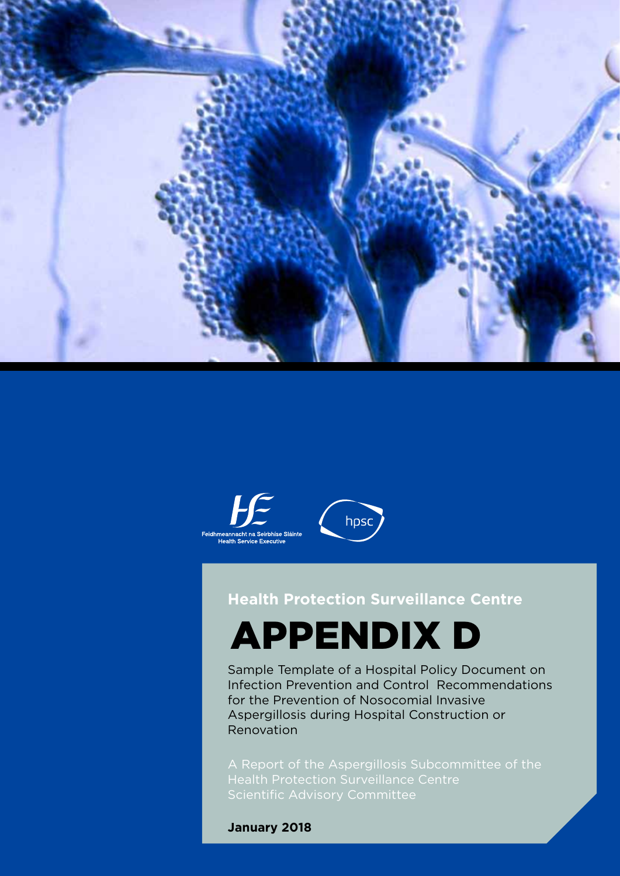



# **Health Protection Surveillance Centre**

# APPENDIX D

Sample Template of a Hospital Policy Document on Infection Prevention and Control Recommendations for the Prevention of Nosocomial Invasive Aspergillosis during Hospital Construction or Renovation

A Report of the Aspergillosis Subcommittee of the Health Protection Surveillance Centre

**January 2018**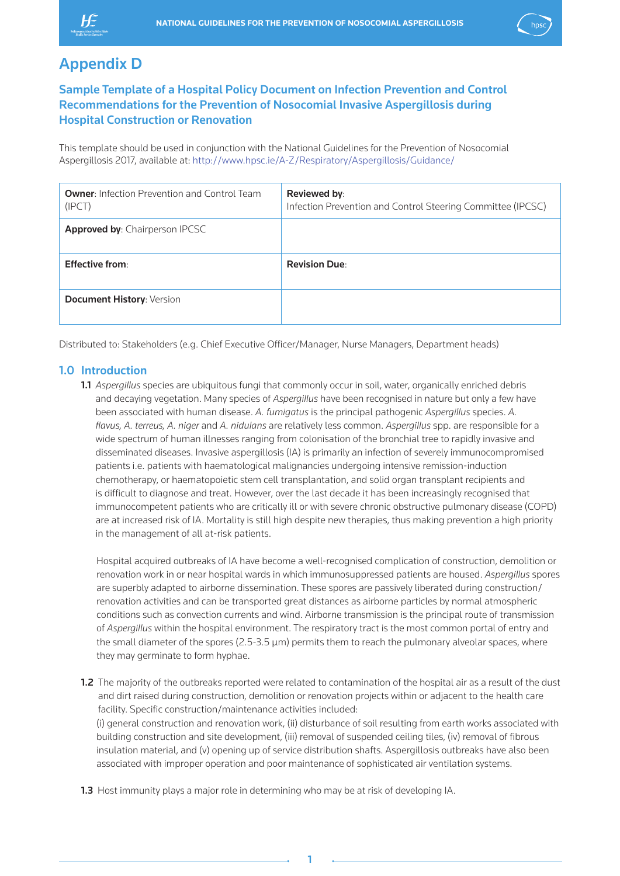



# Appendix D

# Sample Template of a Hospital Policy Document on Infection Prevention and Control Recommendations for the Prevention of Nosocomial Invasive Aspergillosis during Hospital Construction or Renovation

This template should be used in conjunction with the National Guidelines for the Prevention of Nosocomial Aspergillosis 2017, available at: http://www.hpsc.ie/A-Z/Respiratory/Aspergillosis/Guidance/

| <b>Owner:</b> Infection Prevention and Control Team<br>(IPCT) | Reviewed by:<br>Infection Prevention and Control Steering Committee (IPCSC) |
|---------------------------------------------------------------|-----------------------------------------------------------------------------|
| <b>Approved by: Chairperson IPCSC</b>                         |                                                                             |
| <b>Effective from:</b>                                        | <b>Revision Due:</b>                                                        |
| <b>Document History: Version</b>                              |                                                                             |

Distributed to: Stakeholders (e.g. Chief Executive Officer/Manager, Nurse Managers, Department heads)

# 1.0 Introduction

1.1 *Aspergillus* species are ubiquitous fungi that commonly occur in soil, water, organically enriched debris and decaying vegetation. Many species of *Aspergillus* have been recognised in nature but only a few have been associated with human disease. *A. fumigatus* is the principal pathogenic *Aspergillus* species. *A. flavus, A. terreus, A. niger* and *A. nidulans* are relatively less common. *Aspergillus* spp. are responsible for a wide spectrum of human illnesses ranging from colonisation of the bronchial tree to rapidly invasive and disseminated diseases. Invasive aspergillosis (IA) is primarily an infection of severely immunocompromised patients i.e. patients with haematological malignancies undergoing intensive remission-induction chemotherapy, or haematopoietic stem cell transplantation, and solid organ transplant recipients and is difficult to diagnose and treat. However, over the last decade it has been increasingly recognised that immunocompetent patients who are critically ill or with severe chronic obstructive pulmonary disease (COPD) are at increased risk of IA. Mortality is still high despite new therapies, thus making prevention a high priority in the management of all at-risk patients.

 Hospital acquired outbreaks of IA have become a well-recognised complication of construction, demolition or renovation work in or near hospital wards in which immunosuppressed patients are housed. *Aspergillus* spores are superbly adapted to airborne dissemination. These spores are passively liberated during construction/ renovation activities and can be transported great distances as airborne particles by normal atmospheric conditions such as convection currents and wind. Airborne transmission is the principal route of transmission of *Aspergillus* within the hospital environment. The respiratory tract is the most common portal of entry and the small diameter of the spores  $(2.5-3.5 \,\mu\text{m})$  permits them to reach the pulmonary alveolar spaces, where they may germinate to form hyphae.

- 1.2 The majority of the outbreaks reported were related to contamination of the hospital air as a result of the dust and dirt raised during construction, demolition or renovation projects within or adjacent to the health care facility. Specific construction/maintenance activities included: (i) general construction and renovation work, (ii) disturbance of soil resulting from earth works associated with building construction and site development, (iii) removal of suspended ceiling tiles, (iv) removal of fibrous insulation material, and (v) opening up of service distribution shafts. Aspergillosis outbreaks have also been associated with improper operation and poor maintenance of sophisticated air ventilation systems.
- 1.3 Host immunity plays a major role in determining who may be at risk of developing IA.

1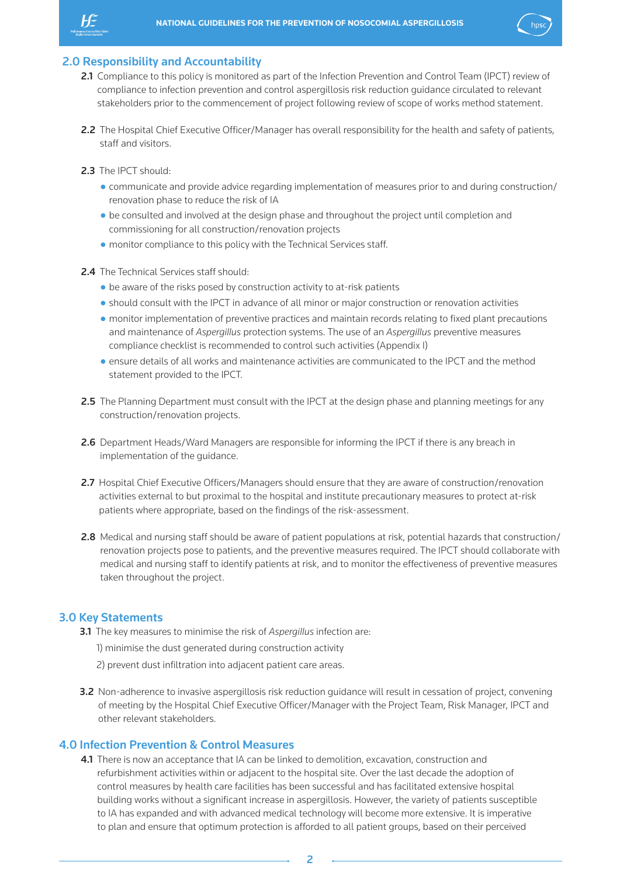



- 2.1 Compliance to this policy is monitored as part of the Infection Prevention and Control Team (IPCT) review of compliance to infection prevention and control aspergillosis risk reduction guidance circulated to relevant stakeholders prior to the commencement of project following review of scope of works method statement.
- 2.2 The Hospital Chief Executive Officer/Manager has overall responsibility for the health and safety of patients, staff and visitors.
- 2.3 The IPCT should:
	- communicate and provide advice regarding implementation of measures prior to and during construction/ renovation phase to reduce the risk of IA
	- be consulted and involved at the design phase and throughout the project until completion and commissioning for all construction/renovation projects
	- monitor compliance to this policy with the Technical Services staff.
- 2.4 The Technical Services staff should:
	- be aware of the risks posed by construction activity to at-risk patients
	- should consult with the IPCT in advance of all minor or major construction or renovation activities
	- monitor implementation of preventive practices and maintain records relating to fixed plant precautions and maintenance of *Aspergillus* protection systems. The use of an *Aspergillus* preventive measures compliance checklist is recommended to control such activities (Appendix I)
	- ensure details of all works and maintenance activities are communicated to the IPCT and the method statement provided to the IPCT.
- 2.5 The Planning Department must consult with the IPCT at the design phase and planning meetings for any construction/renovation projects.
- 2.6 Department Heads/Ward Managers are responsible for informing the IPCT if there is any breach in implementation of the guidance.
- 2.7 Hospital Chief Executive Officers/Managers should ensure that they are aware of construction/renovation activities external to but proximal to the hospital and institute precautionary measures to protect at-risk patients where appropriate, based on the findings of the risk-assessment.
- 2.8 Medical and nursing staff should be aware of patient populations at risk, potential hazards that construction/ renovation projects pose to patients, and the preventive measures required. The IPCT should collaborate with medical and nursing staff to identify patients at risk, and to monitor the effectiveness of preventive measures taken throughout the project.

# 3.0 Key Statements

- 3.1 The key measures to minimise the risk of *Aspergillus* infection are:
	- 1) minimise the dust generated during construction activity
	- 2) prevent dust infiltration into adjacent patient care areas.
- **3.2** Non-adherence to invasive aspergillosis risk reduction quidance will result in cessation of project, convening of meeting by the Hospital Chief Executive Officer/Manager with the Project Team, Risk Manager, IPCT and other relevant stakeholders.

# 4.0 Infection Prevention & Control Measures

4.1 There is now an acceptance that IA can be linked to demolition, excavation, construction and refurbishment activities within or adjacent to the hospital site. Over the last decade the adoption of control measures by health care facilities has been successful and has facilitated extensive hospital building works without a significant increase in aspergillosis. However, the variety of patients susceptible to IA has expanded and with advanced medical technology will become more extensive. It is imperative to plan and ensure that optimum protection is afforded to all patient groups, based on their perceived

 $\overline{2}$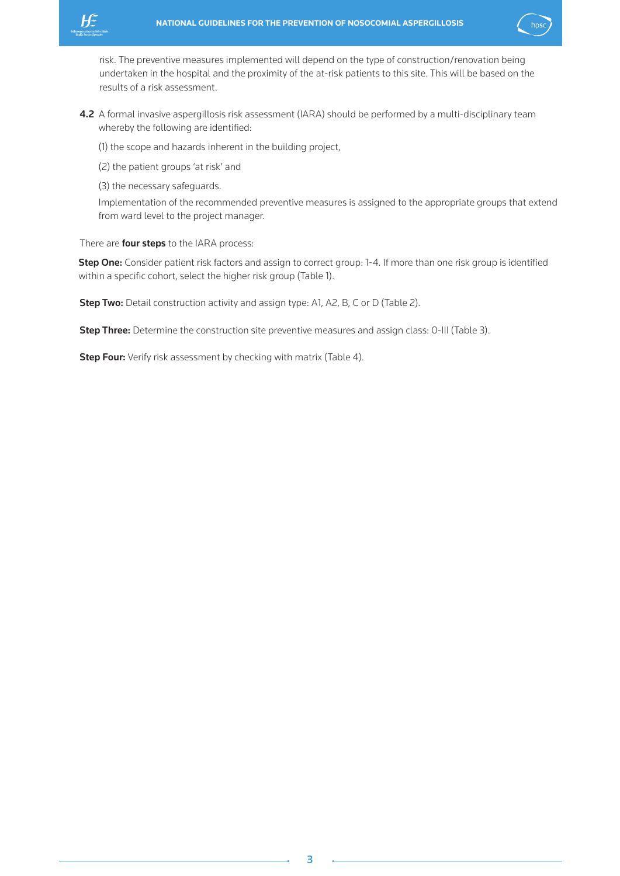



risk. The preventive measures implemented will depend on the type of construction/renovation being undertaken in the hospital and the proximity of the at-risk patients to this site. This will be based on the results of a risk assessment.

4.2 A formal invasive aspergillosis risk assessment (IARA) should be performed by a multi-disciplinary team whereby the following are identified:

(1) the scope and hazards inherent in the building project,

(2) the patient groups 'at risk' and

(3) the necessary safeguards.

 Implementation of the recommended preventive measures is assigned to the appropriate groups that extend from ward level to the project manager.

There are **four steps** to the IARA process:

Step One: Consider patient risk factors and assign to correct group: 1-4. If more than one risk group is identified within a specific cohort, select the higher risk group (Table 1).

Step Two: Detail construction activity and assign type: A1, A2, B, C or D (Table 2).

Step Three: Determine the construction site preventive measures and assign class: 0-III (Table 3).

**Step Four:** Verify risk assessment by checking with matrix (Table 4).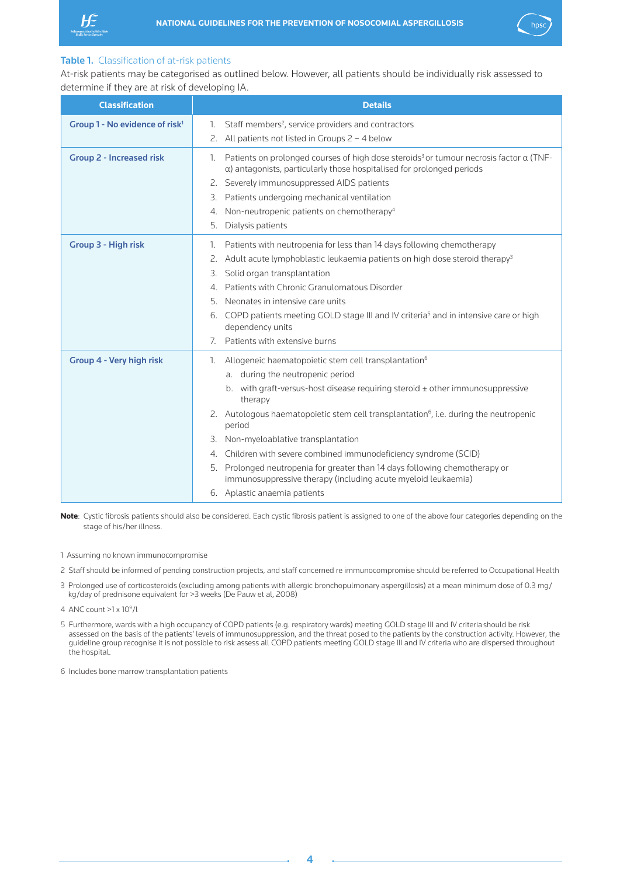



# Table 1. Classification of at-risk patients

At-risk patients may be categorised as outlined below. However, all patients should be individually risk assessed to determine if they are at risk of developing IA.

| <b>Classification</b>                      | <b>Details</b>                                                                                                                                                                           |
|--------------------------------------------|------------------------------------------------------------------------------------------------------------------------------------------------------------------------------------------|
| Group 1 - No evidence of risk <sup>1</sup> | Staff members <sup>2</sup> , service providers and contractors<br>1.                                                                                                                     |
|                                            | All patients not listed in Groups $2 - 4$ below<br>2.                                                                                                                                    |
| <b>Group 2 - Increased risk</b>            | Patients on prolonged courses of high dose steroids <sup>3</sup> or tumour necrosis factor $\alpha$ (TNF-<br>1.<br>α) antagonists, particularly those hospitalised for prolonged periods |
|                                            | Severely immunosuppressed AIDS patients<br>2.                                                                                                                                            |
|                                            | 3. Patients undergoing mechanical ventilation                                                                                                                                            |
|                                            | Non-neutropenic patients on chemotherapy <sup>4</sup><br>4.                                                                                                                              |
|                                            | 5.<br>Dialysis patients                                                                                                                                                                  |
|                                            |                                                                                                                                                                                          |
| <b>Group 3 - High risk</b>                 | Patients with neutropenia for less than 14 days following chemotherapy<br>1.                                                                                                             |
|                                            | Adult acute lymphoblastic leukaemia patients on high dose steroid therapy <sup>3</sup><br>2.                                                                                             |
|                                            | Solid organ transplantation<br>3.                                                                                                                                                        |
|                                            | Patients with Chronic Granulomatous Disorder<br>4                                                                                                                                        |
|                                            | 5<br>Neonates in intensive care units                                                                                                                                                    |
|                                            | 6. COPD patients meeting GOLD stage III and IV criteria <sup>5</sup> and in intensive care or high<br>dependency units                                                                   |
|                                            | 7. Patients with extensive burns                                                                                                                                                         |
| Group 4 - Very high risk                   | Allogeneic haematopoietic stem cell transplantation <sup>6</sup><br>1.                                                                                                                   |
|                                            | a. during the neutropenic period                                                                                                                                                         |
|                                            | b. with graft-versus-host disease requiring steroid $\pm$ other immunosuppressive<br>therapy                                                                                             |
|                                            | 2. Autologous haematopoietic stem cell transplantation <sup>6</sup> , i.e. during the neutropenic<br>period                                                                              |
|                                            | 3. Non-myeloablative transplantation                                                                                                                                                     |
|                                            | Children with severe combined immunodeficiency syndrome (SCID)<br>4.                                                                                                                     |
|                                            | 5. Prolonged neutropenia for greater than 14 days following chemotherapy or                                                                                                              |
|                                            | immunosuppressive therapy (including acute myeloid leukaemia)                                                                                                                            |
|                                            | 6. Aplastic anaemia patients                                                                                                                                                             |

**Note**: Cystic fibrosis patients should also be considered. Each cystic fibrosis patient is assigned to one of the above four categories depending on the stage of his/her illness.

1 Assuming no known immunocompromise

2 Staff should be informed of pending construction projects, and staff concerned re immunocompromise should be referred to Occupational Health

3 Prolonged use of corticosteroids (excluding among patients with allergic bronchopulmonary aspergillosis) at a mean minimum dose of 0.3 mg/ kg/day of prednisone equivalent for >3 weeks (De Pauw et al, 2008)

4 ANC count >1 x 109 /l

5 Furthermore, wards with a high occupancy of COPD patients (e.g. respiratory wards) meeting GOLD stage III and IV criteria should be risk assessed on the basis of the patients' levels of immunosuppression, and the threat posed to the patients by the construction activity. However, the guideline group recognise it is not possible to risk assess all COPD patients meeting GOLD stage III and IV criteria who are dispersed throughout the hospital.

6 Includes bone marrow transplantation patients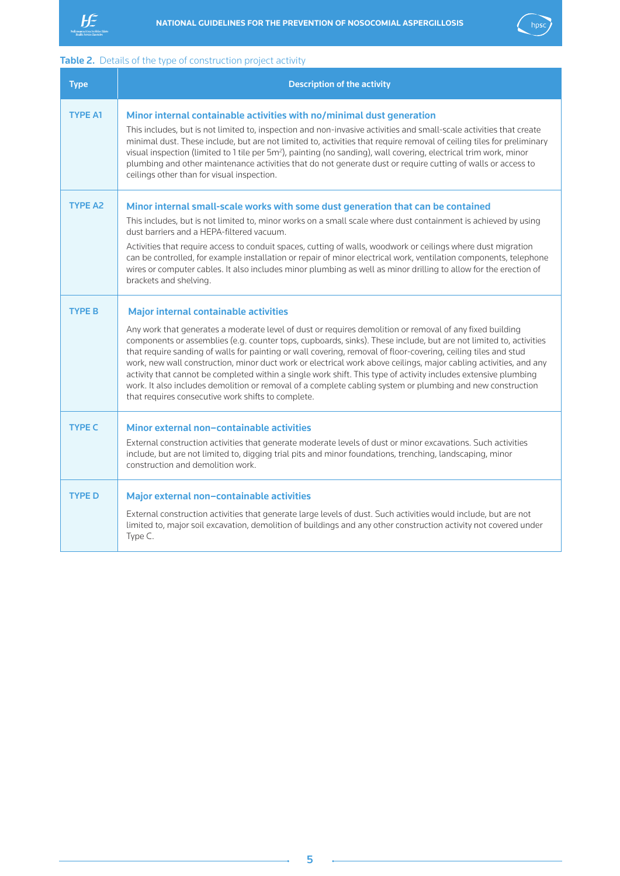

 $f_{\text{hpsc}}$ 



| <b>Type</b>    | <b>Description of the activity</b>                                                                                                                                                                                                                                                                                                                                                                                                                                                                                                                                                                                                                                                                                                                                                                          |
|----------------|-------------------------------------------------------------------------------------------------------------------------------------------------------------------------------------------------------------------------------------------------------------------------------------------------------------------------------------------------------------------------------------------------------------------------------------------------------------------------------------------------------------------------------------------------------------------------------------------------------------------------------------------------------------------------------------------------------------------------------------------------------------------------------------------------------------|
| <b>TYPE A1</b> | Minor internal containable activities with no/minimal dust generation<br>This includes, but is not limited to, inspection and non-invasive activities and small-scale activities that create<br>minimal dust. These include, but are not limited to, activities that require removal of ceiling tiles for preliminary<br>visual inspection (limited to 1 tile per 5m <sup>2</sup> ), painting (no sanding), wall covering, electrical trim work, minor<br>plumbing and other maintenance activities that do not generate dust or require cutting of walls or access to<br>ceilings other than for visual inspection.                                                                                                                                                                                        |
| <b>TYPE A2</b> | Minor internal small-scale works with some dust generation that can be contained<br>This includes, but is not limited to, minor works on a small scale where dust containment is achieved by using<br>dust barriers and a HEPA-filtered vacuum.<br>Activities that require access to conduit spaces, cutting of walls, woodwork or ceilings where dust migration<br>can be controlled, for example installation or repair of minor electrical work, ventilation components, telephone<br>wires or computer cables. It also includes minor plumbing as well as minor drilling to allow for the erection of<br>brackets and shelving.                                                                                                                                                                         |
| <b>TYPE B</b>  | <b>Major internal containable activities</b><br>Any work that generates a moderate level of dust or requires demolition or removal of any fixed building<br>components or assemblies (e.g. counter tops, cupboards, sinks). These include, but are not limited to, activities<br>that require sanding of walls for painting or wall covering, removal of floor-covering, ceiling tiles and stud<br>work, new wall construction, minor duct work or electrical work above ceilings, major cabling activities, and any<br>activity that cannot be completed within a single work shift. This type of activity includes extensive plumbing<br>work. It also includes demolition or removal of a complete cabling system or plumbing and new construction<br>that requires consecutive work shifts to complete. |
| <b>TYPE C</b>  | Minor external non-containable activities<br>External construction activities that generate moderate levels of dust or minor excavations. Such activities<br>include, but are not limited to, digging trial pits and minor foundations, trenching, landscaping, minor<br>construction and demolition work.                                                                                                                                                                                                                                                                                                                                                                                                                                                                                                  |
| <b>TYPE D</b>  | Major external non-containable activities<br>External construction activities that generate large levels of dust. Such activities would include, but are not<br>limited to, major soil excavation, demolition of buildings and any other construction activity not covered under<br>Type C.                                                                                                                                                                                                                                                                                                                                                                                                                                                                                                                 |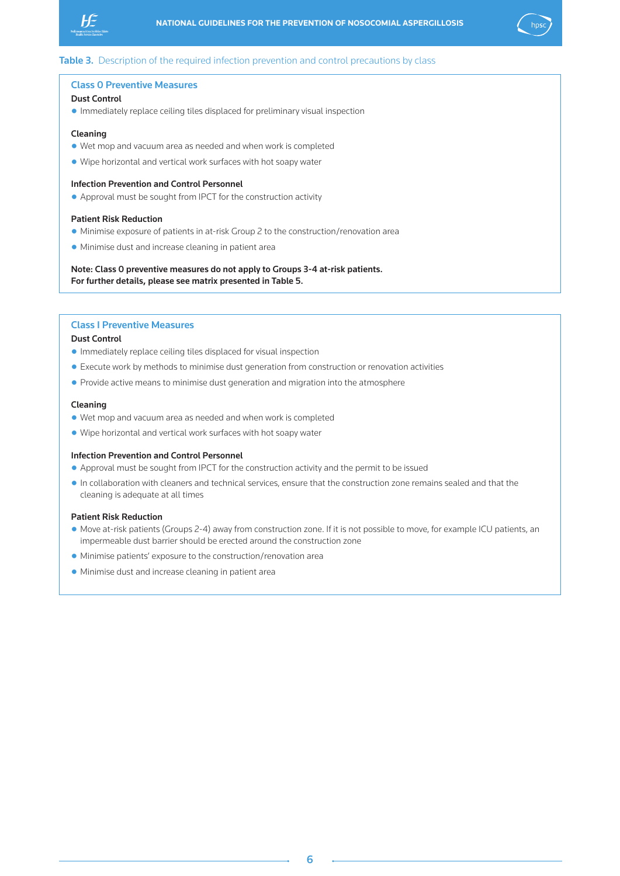



#### Table 3. Description of the required infection prevention and control precautions by class

#### Class 0 Preventive Measures

### Dust Control

● Immediately replace ceiling tiles displaced for preliminary visual inspection

#### Cleaning

- Wet mop and vacuum area as needed and when work is completed
- Wipe horizontal and vertical work surfaces with hot soapy water

#### Infection Prevention and Control Personnel

● Approval must be sought from IPCT for the construction activity

#### Patient Risk Reduction

- Minimise exposure of patients in at-risk Group 2 to the construction/renovation area
- Minimise dust and increase cleaning in patient area

Note: Class 0 preventive measures do not apply to Groups 3-4 at-risk patients. For further details, please see matrix presented in Table 5.

### Class I Preventive Measures

### Dust Control

- Immediately replace ceiling tiles displaced for visual inspection
- Execute work by methods to minimise dust generation from construction or renovation activities
- Provide active means to minimise dust generation and migration into the atmosphere

#### Cleaning

- Wet mop and vacuum area as needed and when work is completed
- Wipe horizontal and vertical work surfaces with hot soapy water

#### Infection Prevention and Control Personnel

- Approval must be sought from IPCT for the construction activity and the permit to be issued
- In collaboration with cleaners and technical services, ensure that the construction zone remains sealed and that the cleaning is adequate at all times

#### Patient Risk Reduction

- Move at-risk patients (Groups 2-4) away from construction zone. If it is not possible to move, for example ICU patients, an impermeable dust barrier should be erected around the construction zone
- Minimise patients' exposure to the construction/renovation area
- Minimise dust and increase cleaning in patient area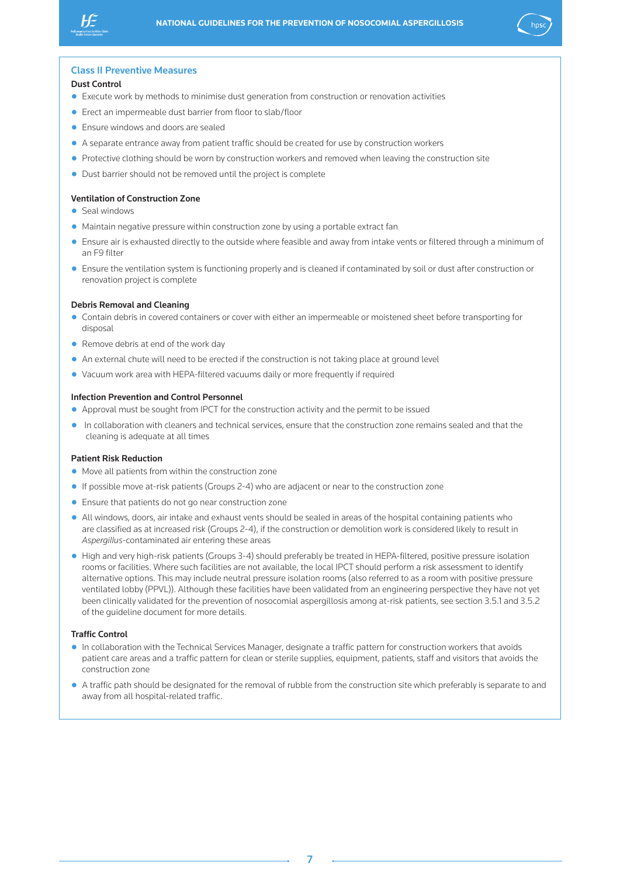



## Class II Preventive Measures

# Dust Control

- Execute work by methods to minimise dust generation from construction or renovation activities
- Erect an impermeable dust barrier from floor to slab/floor
- Ensure windows and doors are sealed
- A separate entrance away from patient traffic should be created for use by construction workers
- Protective clothing should be worn by construction workers and removed when leaving the construction site
- Dust barrier should not be removed until the project is complete

# Ventilation of Construction Zone

- Seal windows
- Maintain negative pressure within construction zone by using a portable extract fan
- Ensure air is exhausted directly to the outside where feasible and away from intake vents or filtered through a minimum of an F9 filter
- Ensure the ventilation system is functioning properly and is cleaned if contaminated by soil or dust after construction or renovation project is complete

#### Debris Removal and Cleaning

- Contain debris in covered containers or cover with either an impermeable or moistened sheet before transporting for disposal
- Remove debris at end of the work day
- An external chute will need to be erected if the construction is not taking place at ground level
- Vacuum work area with HEPA-filtered vacuums daily or more frequently if required

#### Infection Prevention and Control Personnel

- Approval must be sought from IPCT for the construction activity and the permit to be issued
- In collaboration with cleaners and technical services, ensure that the construction zone remains sealed and that the cleaning is adequate at all times

#### Patient Risk Reduction

- Move all patients from within the construction zone
- If possible move at-risk patients (Groups 2-4) who are adjacent or near to the construction zone
- Ensure that patients do not go near construction zone
- All windows, doors, air intake and exhaust vents should be sealed in areas of the hospital containing patients who are classified as at increased risk (Groups 2-4), if the construction or demolition work is considered likely to result in *Aspergillus*-contaminated air entering these areas
- High and very high-risk patients (Groups 3-4) should preferably be treated in HEPA-filtered, positive pressure isolation rooms or facilities. Where such facilities are not available, the local IPCT should perform a risk assessment to identify alternative options. This may include neutral pressure isolation rooms (also referred to as a room with positive pressure ventilated lobby (PPVL)). Although these facilities have been validated from an engineering perspective they have not yet been clinically validated for the prevention of nosocomial aspergillosis among at-risk patients, see section 3.5.1 and 3.5.2 of the guideline document for more details.

#### Traffic Control

- In collaboration with the Technical Services Manager, designate a traffic pattern for construction workers that avoids patient care areas and a traffic pattern for clean or sterile supplies, equipment, patients, staff and visitors that avoids the construction zone
- A traffic path should be designated for the removal of rubble from the construction site which preferably is separate to and away from all hospital-related traffic.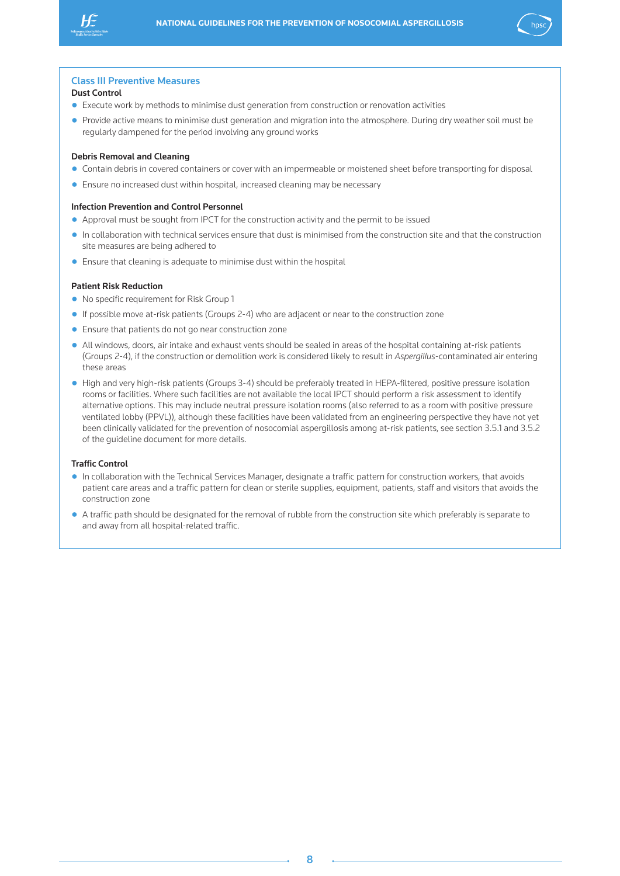



# Class III Preventive Measures

### Dust Control

- Execute work by methods to minimise dust generation from construction or renovation activities
- Provide active means to minimise dust generation and migration into the atmosphere. During dry weather soil must be regularly dampened for the period involving any ground works

#### Debris Removal and Cleaning

- Contain debris in covered containers or cover with an impermeable or moistened sheet before transporting for disposal
- Ensure no increased dust within hospital, increased cleaning may be necessary

#### Infection Prevention and Control Personnel

- Approval must be sought from IPCT for the construction activity and the permit to be issued
- In collaboration with technical services ensure that dust is minimised from the construction site and that the construction site measures are being adhered to
- Ensure that cleaning is adequate to minimise dust within the hospital

#### Patient Risk Reduction

- No specific requirement for Risk Group 1
- If possible move at-risk patients (Groups 2-4) who are adjacent or near to the construction zone
- Ensure that patients do not go near construction zone
- All windows, doors, air intake and exhaust vents should be sealed in areas of the hospital containing at-risk patients (Groups 2-4), if the construction or demolition work is considered likely to result in *Aspergillus*-contaminated air entering these areas
- High and very high-risk patients (Groups 3-4) should be preferably treated in HEPA-filtered, positive pressure isolation rooms or facilities. Where such facilities are not available the local IPCT should perform a risk assessment to identify alternative options. This may include neutral pressure isolation rooms (also referred to as a room with positive pressure ventilated lobby (PPVL)), although these facilities have been validated from an engineering perspective they have not yet been clinically validated for the prevention of nosocomial aspergillosis among at-risk patients, see section 3.5.1 and 3.5.2 of the guideline document for more details.

#### Traffic Control

- In collaboration with the Technical Services Manager, designate a traffic pattern for construction workers, that avoids patient care areas and a traffic pattern for clean or sterile supplies, equipment, patients, staff and visitors that avoids the construction zone
- A traffic path should be designated for the removal of rubble from the construction site which preferably is separate to and away from all hospital-related traffic.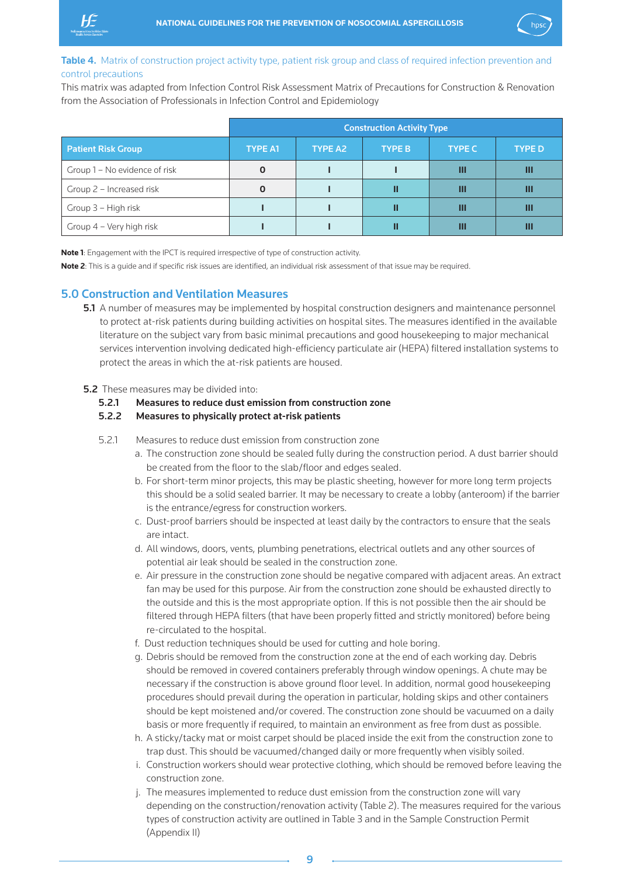



# Table 4. Matrix of construction project activity type, patient risk group and class of required infection prevention and control precautions

This matrix was adapted from Infection Control Risk Assessment Matrix of Precautions for Construction & Renovation from the Association of Professionals in Infection Control and Epidemiology

|                               |                |                | <b>Construction Activity Type</b> |               |               |
|-------------------------------|----------------|----------------|-----------------------------------|---------------|---------------|
| <b>Patient Risk Group</b>     | <b>TYPE A1</b> | <b>TYPE A2</b> | <b>TYPE B</b>                     | <b>TYPE C</b> | <b>TYPE D</b> |
| Group 1 - No evidence of risk |                |                |                                   | Ш             | Ш             |
| Group 2 – Increased risk      |                |                |                                   |               | Ш             |
| Group 3 – High risk           |                |                |                                   |               | Ш             |
| Group 4 – Very high risk      |                |                |                                   |               | M             |

**Note 1**: Engagement with the IPCT is required irrespective of type of construction activity.

**Note 2**: This is a guide and if specific risk issues are identified, an individual risk assessment of that issue may be required.

# 5.0 Construction and Ventilation Measures

- **5.1** A number of measures may be implemented by hospital construction designers and maintenance personnel to protect at-risk patients during building activities on hospital sites. The measures identified in the available literature on the subject vary from basic minimal precautions and good housekeeping to major mechanical services intervention involving dedicated high-efficiency particulate air (HEPA) filtered installation systems to protect the areas in which the at-risk patients are housed.
- 5.2 These measures may be divided into:
	- 5.2.1 Measures to reduce dust emission from construction zone
	- 5.2.2 Measures to physically protect at-risk patients
	- 5.2.1 Measures to reduce dust emission from construction zone
		- a. The construction zone should be sealed fully during the construction period. A dust barrier should be created from the floor to the slab/floor and edges sealed.
		- b. For short-term minor projects, this may be plastic sheeting, however for more long term projects this should be a solid sealed barrier. It may be necessary to create a lobby (anteroom) if the barrier is the entrance/egress for construction workers.
		- c. Dust-proof barriers should be inspected at least daily by the contractors to ensure that the seals are intact.
		- d. All windows, doors, vents, plumbing penetrations, electrical outlets and any other sources of potential air leak should be sealed in the construction zone.
		- e. Air pressure in the construction zone should be negative compared with adjacent areas. An extract fan may be used for this purpose. Air from the construction zone should be exhausted directly to the outside and this is the most appropriate option. If this is not possible then the air should be filtered through HEPA filters (that have been properly fitted and strictly monitored) before being re-circulated to the hospital.
		- f. Dust reduction techniques should be used for cutting and hole boring.
		- g. Debris should be removed from the construction zone at the end of each working day. Debris should be removed in covered containers preferably through window openings. A chute may be necessary if the construction is above ground floor level. In addition, normal good housekeeping procedures should prevail during the operation in particular, holding skips and other containers should be kept moistened and/or covered. The construction zone should be vacuumed on a daily basis or more frequently if required, to maintain an environment as free from dust as possible.
		- h. A sticky/tacky mat or moist carpet should be placed inside the exit from the construction zone to trap dust. This should be vacuumed/changed daily or more frequently when visibly soiled.
		- i. Construction workers should wear protective clothing, which should be removed before leaving the construction zone.
		- j. The measures implemented to reduce dust emission from the construction zone will vary depending on the construction/renovation activity (Table 2). The measures required for the various types of construction activity are outlined in Table 3 and in the Sample Construction Permit (Appendix II)

9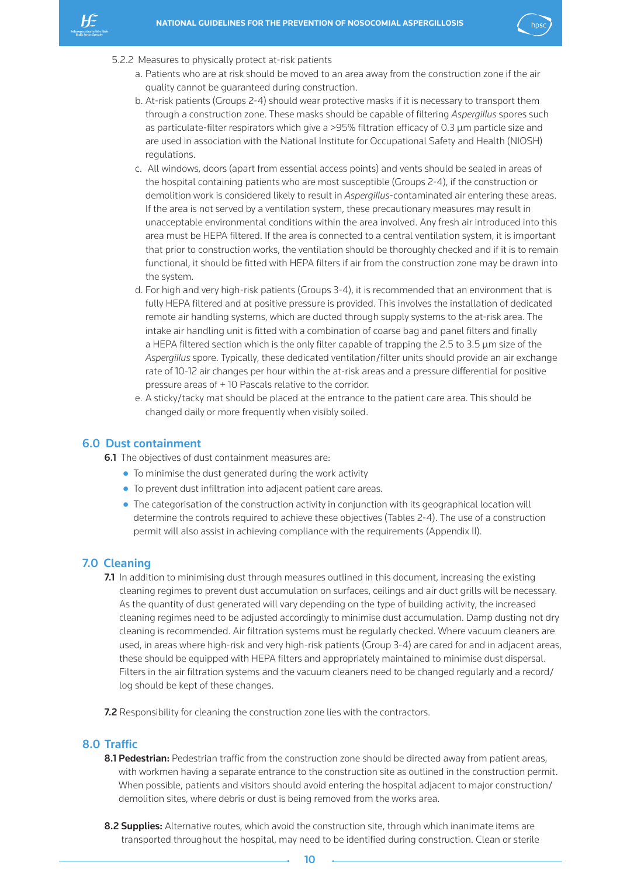

- 5.2.2 Measures to physically protect at-risk patients
	- a. Patients who are at risk should be moved to an area away from the construction zone if the air quality cannot be guaranteed during construction.
	- b. At-risk patients (Groups 2-4) should wear protective masks if it is necessary to transport them through a construction zone. These masks should be capable of filtering *Aspergillus* spores such as particulate-filter respirators which give a >95% filtration efficacy of 0.3 μm particle size and are used in association with the National Institute for Occupational Safety and Health (NIOSH) regulations.
	- c. All windows, doors (apart from essential access points) and vents should be sealed in areas of the hospital containing patients who are most susceptible (Groups 2-4), if the construction or demolition work is considered likely to result in *Aspergillus*-contaminated air entering these areas. If the area is not served by a ventilation system, these precautionary measures may result in unacceptable environmental conditions within the area involved. Any fresh air introduced into this area must be HEPA filtered. If the area is connected to a central ventilation system, it is important that prior to construction works, the ventilation should be thoroughly checked and if it is to remain functional, it should be fitted with HEPA filters if air from the construction zone may be drawn into the system.
	- d. For high and very high-risk patients (Groups 3-4), it is recommended that an environment that is fully HEPA filtered and at positive pressure is provided. This involves the installation of dedicated remote air handling systems, which are ducted through supply systems to the at-risk area. The intake air handling unit is fitted with a combination of coarse bag and panel filters and finally a HEPA filtered section which is the only filter capable of trapping the 2.5 to 3.5 μm size of the *Aspergillus* spore. Typically, these dedicated ventilation/filter units should provide an air exchange rate of 10-12 air changes per hour within the at-risk areas and a pressure differential for positive pressure areas of + 10 Pascals relative to the corridor.
	- e. A sticky/tacky mat should be placed at the entrance to the patient care area. This should be changed daily or more frequently when visibly soiled.

# 6.0 Dust containment

6.1 The objectives of dust containment measures are:

- To minimise the dust generated during the work activity
- To prevent dust infiltration into adjacent patient care areas.
- The categorisation of the construction activity in conjunction with its geographical location will determine the controls required to achieve these objectives (Tables 2-4). The use of a construction permit will also assist in achieving compliance with the requirements (Appendix II).

# 7.0 Cleaning

7.1 In addition to minimising dust through measures outlined in this document, increasing the existing cleaning regimes to prevent dust accumulation on surfaces, ceilings and air duct grills will be necessary. As the quantity of dust generated will vary depending on the type of building activity, the increased cleaning regimes need to be adjusted accordingly to minimise dust accumulation. Damp dusting not dry cleaning is recommended. Air filtration systems must be regularly checked. Where vacuum cleaners are used, in areas where high-risk and very high-risk patients (Group 3-4) are cared for and in adjacent areas, these should be equipped with HEPA filters and appropriately maintained to minimise dust dispersal. Filters in the air filtration systems and the vacuum cleaners need to be changed regularly and a record/ log should be kept of these changes.

7.2 Responsibility for cleaning the construction zone lies with the contractors.

# 8.0 Traffic

- 8.1 Pedestrian: Pedestrian traffic from the construction zone should be directed away from patient areas, with workmen having a separate entrance to the construction site as outlined in the construction permit. When possible, patients and visitors should avoid entering the hospital adjacent to major construction/ demolition sites, where debris or dust is being removed from the works area.
- 8.2 Supplies: Alternative routes, which avoid the construction site, through which inanimate items are transported throughout the hospital, may need to be identified during construction. Clean or sterile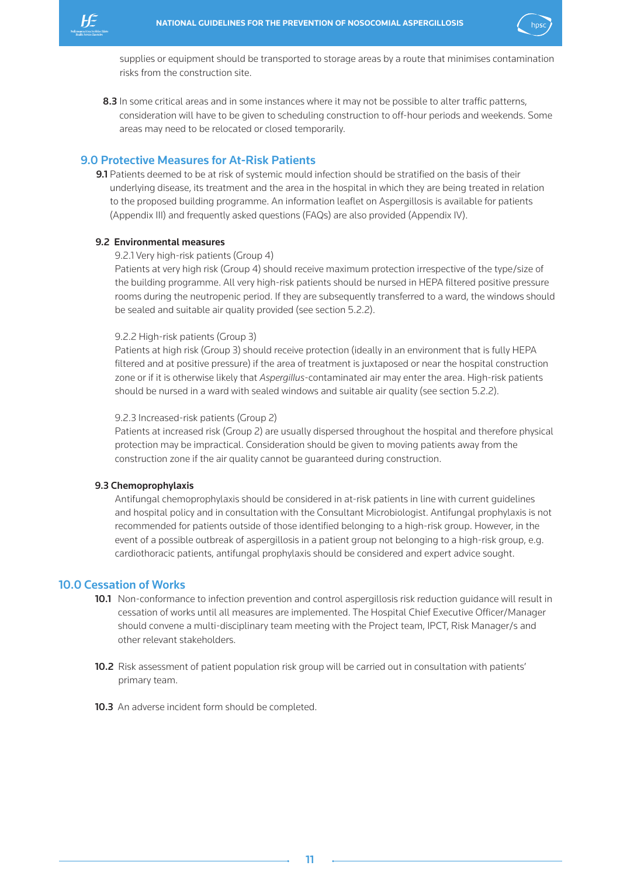



supplies or equipment should be transported to storage areas by a route that minimises contamination risks from the construction site.

8.3 In some critical areas and in some instances where it may not be possible to alter traffic patterns, consideration will have to be given to scheduling construction to off-hour periods and weekends. Some areas may need to be relocated or closed temporarily.

# 9.0 Protective Measures for At-Risk Patients

**9.1** Patients deemed to be at risk of systemic mould infection should be stratified on the basis of their underlying disease, its treatment and the area in the hospital in which they are being treated in relation to the proposed building programme. An information leaflet on Aspergillosis is available for patients (Appendix III) and frequently asked questions (FAQs) are also provided (Appendix IV).

# 9.2 Environmental measures

9.2.1 Very high-risk patients (Group 4)

Patients at very high risk (Group 4) should receive maximum protection irrespective of the type/size of the building programme. All very high-risk patients should be nursed in HEPA filtered positive pressure rooms during the neutropenic period. If they are subsequently transferred to a ward, the windows should be sealed and suitable air quality provided (see section 5.2.2).

# 9.2.2 High-risk patients (Group 3)

Patients at high risk (Group 3) should receive protection (ideally in an environment that is fully HEPA filtered and at positive pressure) if the area of treatment is juxtaposed or near the hospital construction zone or if it is otherwise likely that *Aspergillus*-contaminated air may enter the area. High-risk patients should be nursed in a ward with sealed windows and suitable air quality (see section 5.2.2).

# 9.2.3 Increased-risk patients (Group 2)

Patients at increased risk (Group 2) are usually dispersed throughout the hospital and therefore physical protection may be impractical. Consideration should be given to moving patients away from the construction zone if the air quality cannot be guaranteed during construction.

# 9.3 Chemoprophylaxis

Antifungal chemoprophylaxis should be considered in at-risk patients in line with current guidelines and hospital policy and in consultation with the Consultant Microbiologist. Antifungal prophylaxis is not recommended for patients outside of those identified belonging to a high-risk group. However, in the event of a possible outbreak of aspergillosis in a patient group not belonging to a high-risk group, e.g. cardiothoracic patients, antifungal prophylaxis should be considered and expert advice sought.

# 10.0 Cessation of Works

- 10.1 Non-conformance to infection prevention and control aspergillosis risk reduction quidance will result in cessation of works until all measures are implemented. The Hospital Chief Executive Officer/Manager should convene a multi-disciplinary team meeting with the Project team, IPCT, Risk Manager/s and other relevant stakeholders.
- **10.2** Risk assessment of patient population risk group will be carried out in consultation with patients' primary team.
- 10.3 An adverse incident form should be completed.

11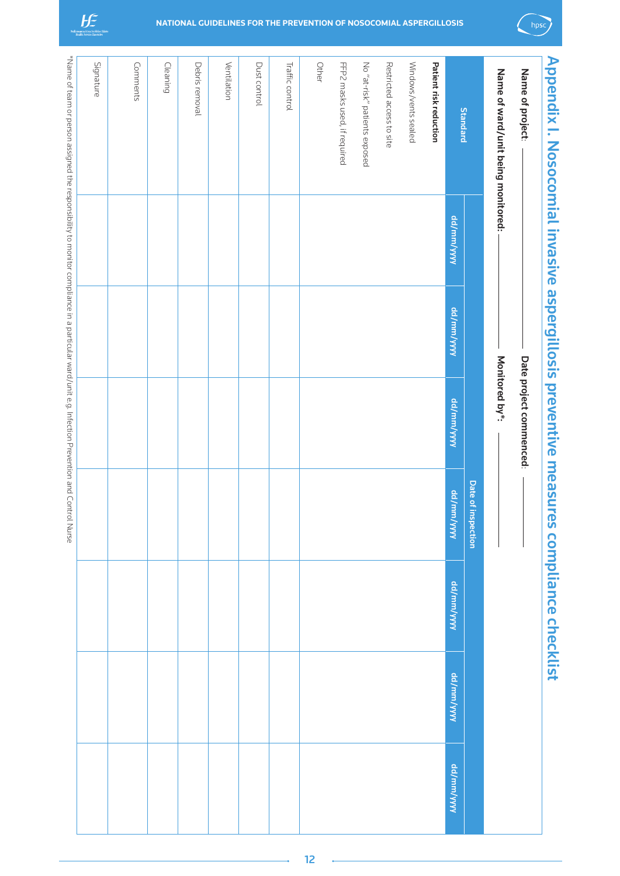

 $h$ psc

| Name of project:                   |            |          |                |                       |           |            |             |
|------------------------------------|------------|----------|----------------|-----------------------|-----------|------------|-------------|
| Name of ward/unit being monitored: |            |          | Monitored by*: |                       |           |            |             |
|                                    |            |          |                | Date of<br>inspection |           |            |             |
| <b>Standard</b>                    | dd/mm/yyyy | dd/mm/yw | dd/mm/ywy      | un/ww/ww              | dd/mm/yyy | dd/mm/yyyy | VVV / mm/bb |
| Patient risk reduction             |            |          |                |                       |           |            |             |
| Windows/vents sealed               |            |          |                |                       |           |            |             |
| Restricted access to site          |            |          |                |                       |           |            |             |
| No "at-risk" patients exposed      |            |          |                |                       |           |            |             |
| FFP2 masks used, if required       |            |          |                |                       |           |            |             |
| Other                              |            |          |                |                       |           |            |             |
| Traffic control                    |            |          |                |                       |           |            |             |
| Dust control                       |            |          |                |                       |           |            |             |
| Ventilation                        |            |          |                |                       |           |            |             |
| Debris removal                     |            |          |                |                       |           |            |             |
| Cleaning                           |            |          |                |                       |           |            |             |
| Comments                           |            |          |                |                       |           |            |             |
| Signature                          |            |          |                |                       |           |            |             |

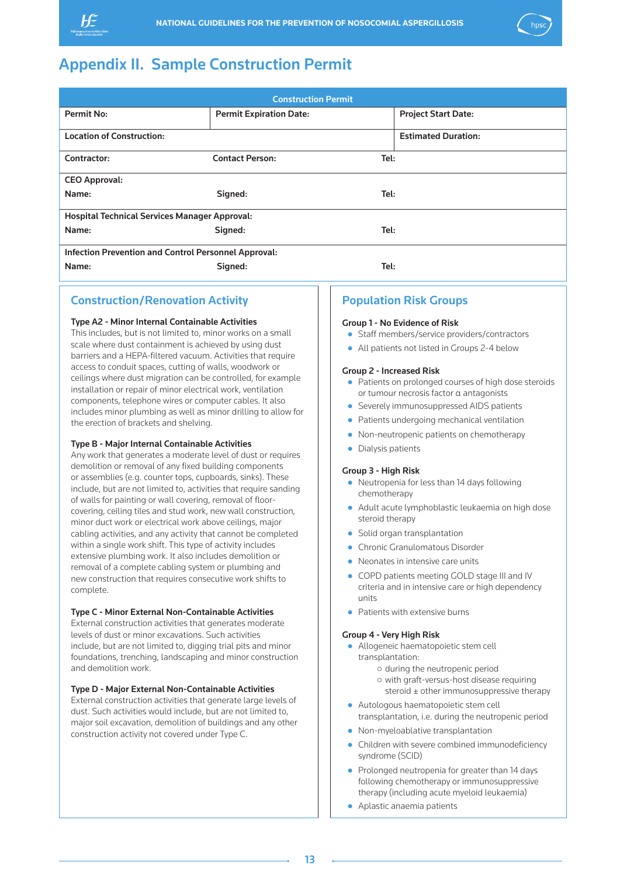



# Appendix II. Sample Construction Permit

| <b>Construction Permit</b>                                  |                                |                            |  |  |  |
|-------------------------------------------------------------|--------------------------------|----------------------------|--|--|--|
| <b>Permit No:</b>                                           | <b>Permit Expiration Date:</b> | <b>Project Start Date:</b> |  |  |  |
| <b>Location of Construction:</b>                            |                                | <b>Estimated Duration:</b> |  |  |  |
| Contractor:                                                 | <b>Contact Person:</b>         | Tel:                       |  |  |  |
| <b>CEO Approval:</b>                                        |                                |                            |  |  |  |
| Name:                                                       | Signed:                        | Tel:                       |  |  |  |
| <b>Hospital Technical Services Manager Approval:</b>        |                                |                            |  |  |  |
| Name:<br>Signed:<br>Tel:                                    |                                |                            |  |  |  |
| <b>Infection Prevention and Control Personnel Approval:</b> |                                |                            |  |  |  |
| Name:                                                       | Signed:                        | Tel:                       |  |  |  |

# Construction/Renovation Activity

# Type A2 - Minor Internal Containable Activities

This includes, but is not limited to, minor works on a small scale where dust containment is achieved by using dust barriers and a HEPA-filtered vacuum. Activities that require access to conduit spaces, cutting of walls, woodwork or ceilings where dust migration can be controlled, for example installation or repair of minor electrical work, ventilation components, telephone wires or computer cables. It also includes minor plumbing as well as minor drilling to allow for the erection of brackets and shelving.

# Type B - Major Internal Containable Activities

Any work that generates a moderate level of dust or requires demolition or removal of any fixed building components or assemblies (e.g. counter tops, cupboards, sinks). These include, but are not limited to, activities that require sanding of walls for painting or wall covering, removal of floorcovering, ceiling tiles and stud work, new wall construction, minor duct work or electrical work above ceilings, major cabling activities, and any activity that cannot be completed within a single work shift. This type of activity includes extensive plumbing work. It also includes demolition or removal of a complete cabling system or plumbing and new construction that requires consecutive work shifts to complete.

# Type C - Minor External Non-Containable Activities

External construction activities that generates moderate levels of dust or minor excavations. Such activities include, but are not limited to, digging trial pits and minor foundations, trenching, landscaping and minor construction and demolition work.

# Type D - Major External Non-Containable Activities

External construction activities that generate large levels of dust. Such activities would include, but are not limited to, major soil excavation, demolition of buildings and any other construction activity not covered under Type C.

# Population Risk Groups

### Group 1 - No Evidence of Risk

- Staff members/service providers/contractors
- All patients not listed in Groups 2-4 below

# Group 2 - Increased Risk

- Patients on prolonged courses of high dose steroids or tumour necrosis factor α antagonists
- Severely immunosuppressed AIDS patients
- Patients undergoing mechanical ventilation
- Non-neutropenic patients on chemotherapy
- Dialysis patients

# Group 3 - High Risk

- Neutropenia for less than 14 days following chemotherapy
- Adult acute lymphoblastic leukaemia on high dose steroid therapy
- Solid organ transplantation
- Chronic Granulomatous Disorder
- Neonates in intensive care units
- COPD patients meeting GOLD stage III and IV criteria and in intensive care or high dependency units
- Patients with extensive burns

# Group 4 - Very High Risk

- Allogeneic haematopoietic stem cell transplantation:
	- during the neutropenic period
	- with graft-versus-host disease requiring
	- steroid  $\pm$  other immunosuppressive therapy
- Autologous haematopoietic stem cell transplantation, i.e. during the neutropenic period
- Non-myeloablative transplantation
- Children with severe combined immunodeficiency syndrome (SCID)
- Prolonged neutropenia for greater than 14 days following chemotherapy or immunosuppressive therapy (including acute myeloid leukaemia)
- Aplastic anaemia patients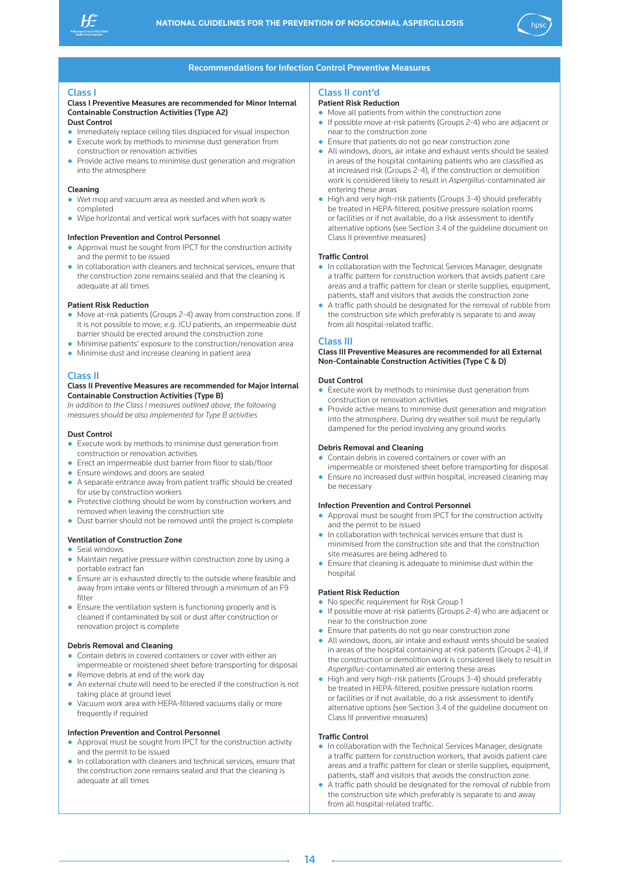



#### Recommendations for Infection Control Preventive Measures

#### Class I

#### Class I Preventive Measures are recommended for Minor Internal Containable Construction Activities (Type A2) Dust Control

- Immediately replace ceiling tiles displaced for visual inspection ● Execute work by methods to minimise dust generation from
- construction or renovation activities
- Provide active means to minimise dust generation and migration into the atmosphere

#### Cleaning

- Wet mop and vacuum area as needed and when work is completed
- Wipe horizontal and vertical work surfaces with hot soapy water

#### Infection Prevention and Control Personnel

- Approval must be sought from IPCT for the construction activity and the permit to be issued
- In collaboration with cleaners and technical services, ensure that the construction zone remains sealed and that the cleaning is adequate at all times

#### Patient Risk Reduction

- Move at-risk patients (Groups 2-4) away from construction zone. If it is not possible to move, e.g. ICU patients, an impermeable dust barrier should be erected around the construction zone
- Minimise patients' exposure to the construction/renovation area
- Minimise dust and increase cleaning in patient area

#### Class II

#### Class II Preventive Measures are recommended for Major Internal Containable Construction Activities (Type B)

*In addition to the Class I measures outlined above, the following measures should be also implemented for Type B activities*

#### Dust Control

- Execute work by methods to minimise dust generation from construction or renovation activities
- Erect an impermeable dust barrier from floor to slab/floor
- Ensure windows and doors are sealed
- A separate entrance away from patient traffic should be created for use by construction workers
- Protective clothing should be worn by construction workers and removed when leaving the construction site
- Dust barrier should not be removed until the project is complete

### Ventilation of Construction Zone

- Seal windows
- Maintain negative pressure within construction zone by using a portable extract fan
- Ensure air is exhausted directly to the outside where feasible and away from intake vents or filtered through a minimum of an F9 filter
- Ensure the ventilation system is functioning properly and is cleaned if contaminated by soil or dust after construction or renovation project is complete

### Debris Removal and Cleaning

- Contain debris in covered containers or cover with either an impermeable or moistened sheet before transporting for disposal
- Remove debris at end of the work day ● An external chute will need to be erected if the construction is not
- taking place at ground level
- Vacuum work area with HEPA-filtered vacuums daily or more frequently if required

#### Infection Prevention and Control Personnel

- Approval must be sought from IPCT for the construction activity and the permit to be issued
- In collaboration with cleaners and technical services, ensure that the construction zone remains sealed and that the cleaning is adequate at all times

# Class II cont'd

- Patient Risk Reduction
- Move all patients from within the construction zone
- If possible move at-risk patients (Groups 2-4) who are adjacent or near to the construction zone
- Ensure that patients do not go near construction zone
- All windows, doors, air intake and exhaust vents should be sealed in areas of the hospital containing patients who are classified as at increased risk (Groups 2-4), if the construction or demolition work is considered likely to result in *Aspergillus*-contaminated air entering these areas
- High and very high-risk patients (Groups 3-4) should preferably be treated in HEPA-filtered, positive pressure isolation rooms or facilities or if not available, do a risk assessment to identify alternative options (see Section 3.4 of the guideline document on Class II preventive measures)

#### Traffic Control

- In collaboration with the Technical Services Manager, designate a traffic pattern for construction workers that avoids patient care areas and a traffic pattern for clean or sterile supplies, equipment, patients, staff and visitors that avoids the construction zone
- A traffic path should be designated for the removal of rubble from the construction site which preferably is separate to and away from all hospital-related traffic.

#### Class III

#### Class III Preventive Measures are recommended for all External Non-Containable Construction Activities (Type C & D)

#### Dust Control

- Execute work by methods to minimise dust generation from construction or renovation activities
- Provide active means to minimise dust generation and migration into the atmosphere. During dry weather soil must be regularly dampened for the period involving any ground works

#### Debris Removal and Cleaning

- Contain debris in covered containers or cover with an impermeable or moistened sheet before transporting for disposal
- Ensure no increased dust within hospital, increased cleaning may be necessary

#### Infection Prevention and Control Personnel

- Approval must be sought from IPCT for the construction activity and the permit to be issued
- In collaboration with technical services ensure that dust is minimised from the construction site and that the construction site measures are being adhered to
- Ensure that cleaning is adequate to minimise dust within the hospital

#### Patient Risk Reduction

- No specific requirement for Risk Group 1 If possible move at-risk patients (Groups 2-4) who are adjacent or near to the construction zone
- Ensure that patients do not go near construction zone
- All windows, doors, air intake and exhaust vents should be sealed in areas of the hospital containing at-risk patients (Groups 2-4), if the construction or demolition work is considered likely to result in *Aspergillus*-contaminated air entering these areas
- High and very high-risk patients (Groups 3-4) should preferably be treated in HEPA-filtered, positive pressure isolation rooms or facilities or if not available, do a risk assessment to identify alternative options (see Section 3.4 of the guideline document on Class III preventive measures)

#### Traffic Control

- In collaboration with the Technical Services Manager, designate a traffic pattern for construction workers, that avoids patient care areas and a traffic pattern for clean or sterile supplies, equipment, patients, staff and visitors that avoids the construction zone.
- A traffic path should be designated for the removal of rubble from the construction site which preferably is separate to and away from all hospital-related traffic.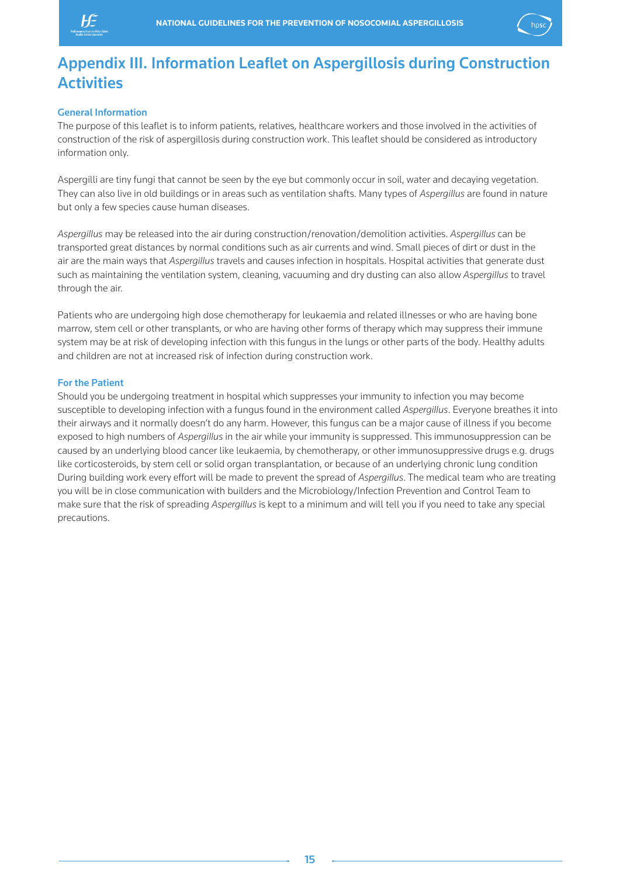



# Appendix III. Information Leaflet on Aspergillosis during Construction **Activities**

# General Information

The purpose of this leaflet is to inform patients, relatives, healthcare workers and those involved in the activities of construction of the risk of aspergillosis during construction work. This leaflet should be considered as introductory information only.

Aspergilli are tiny fungi that cannot be seen by the eye but commonly occur in soil, water and decaying vegetation. They can also live in old buildings or in areas such as ventilation shafts. Many types of *Aspergillus* are found in nature but only a few species cause human diseases.

*Aspergillus* may be released into the air during construction/renovation/demolition activities. *Aspergillus* can be transported great distances by normal conditions such as air currents and wind. Small pieces of dirt or dust in the air are the main ways that *Aspergillus* travels and causes infection in hospitals. Hospital activities that generate dust such as maintaining the ventilation system, cleaning, vacuuming and dry dusting can also allow *Aspergillus* to travel through the air.

Patients who are undergoing high dose chemotherapy for leukaemia and related illnesses or who are having bone marrow, stem cell or other transplants, or who are having other forms of therapy which may suppress their immune system may be at risk of developing infection with this fungus in the lungs or other parts of the body. Healthy adults and children are not at increased risk of infection during construction work.

# For the Patient

Should you be undergoing treatment in hospital which suppresses your immunity to infection you may become susceptible to developing infection with a fungus found in the environment called *Aspergillus*. Everyone breathes it into their airways and it normally doesn't do any harm. However, this fungus can be a major cause of illness if you become exposed to high numbers of *Aspergillus* in the air while your immunity is suppressed. This immunosuppression can be caused by an underlying blood cancer like leukaemia, by chemotherapy, or other immunosuppressive drugs e.g. drugs like corticosteroids, by stem cell or solid organ transplantation, or because of an underlying chronic lung condition During building work every effort will be made to prevent the spread of *Aspergillus*. The medical team who are treating you will be in close communication with builders and the Microbiology/Infection Prevention and Control Team to make sure that the risk of spreading *Aspergillus* is kept to a minimum and will tell you if you need to take any special precautions.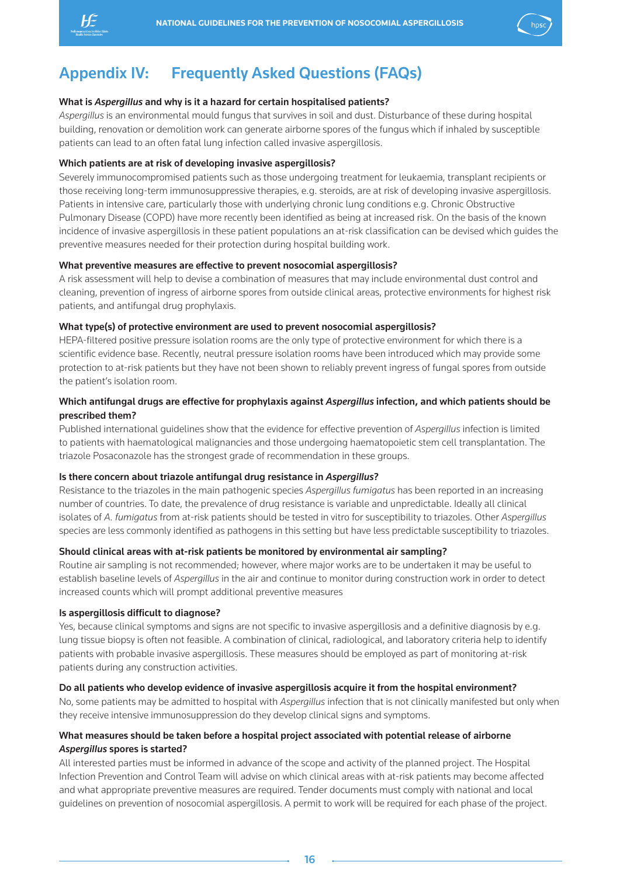



# Appendix IV: Frequently Asked Questions (FAQs)

# What is *Aspergillus* and why is it a hazard for certain hospitalised patients?

*Aspergillus* is an environmental mould fungus that survives in soil and dust. Disturbance of these during hospital building, renovation or demolition work can generate airborne spores of the fungus which if inhaled by susceptible patients can lead to an often fatal lung infection called invasive aspergillosis.

# Which patients are at risk of developing invasive aspergillosis?

Severely immunocompromised patients such as those undergoing treatment for leukaemia, transplant recipients or those receiving long-term immunosuppressive therapies, e.g. steroids, are at risk of developing invasive aspergillosis. Patients in intensive care, particularly those with underlying chronic lung conditions e.g. Chronic Obstructive Pulmonary Disease (COPD) have more recently been identified as being at increased risk. On the basis of the known incidence of invasive aspergillosis in these patient populations an at-risk classification can be devised which guides the preventive measures needed for their protection during hospital building work.

# What preventive measures are effective to prevent nosocomial aspergillosis?

A risk assessment will help to devise a combination of measures that may include environmental dust control and cleaning, prevention of ingress of airborne spores from outside clinical areas, protective environments for highest risk patients, and antifungal drug prophylaxis.

# What type(s) of protective environment are used to prevent nosocomial aspergillosis?

HEPA-filtered positive pressure isolation rooms are the only type of protective environment for which there is a scientific evidence base. Recently, neutral pressure isolation rooms have been introduced which may provide some protection to at-risk patients but they have not been shown to reliably prevent ingress of fungal spores from outside the patient's isolation room.

# Which antifungal drugs are effective for prophylaxis against *Aspergillus* infection, and which patients should be prescribed them?

Published international guidelines show that the evidence for effective prevention of *Aspergillus* infection is limited to patients with haematological malignancies and those undergoing haematopoietic stem cell transplantation. The triazole Posaconazole has the strongest grade of recommendation in these groups.

# Is there concern about triazole antifungal drug resistance in *Aspergillus*?

Resistance to the triazoles in the main pathogenic species *Aspergillus fumigatus* has been reported in an increasing number of countries. To date, the prevalence of drug resistance is variable and unpredictable. Ideally all clinical isolates of *A. fumigatus* from at-risk patients should be tested in vitro for susceptibility to triazoles. Other *Aspergillus* species are less commonly identified as pathogens in this setting but have less predictable susceptibility to triazoles.

# Should clinical areas with at-risk patients be monitored by environmental air sampling?

Routine air sampling is not recommended; however, where major works are to be undertaken it may be useful to establish baseline levels of *Aspergillus* in the air and continue to monitor during construction work in order to detect increased counts which will prompt additional preventive measures

# Is aspergillosis difficult to diagnose?

Yes, because clinical symptoms and signs are not specific to invasive aspergillosis and a definitive diagnosis by e.g. lung tissue biopsy is often not feasible. A combination of clinical, radiological, and laboratory criteria help to identify patients with probable invasive aspergillosis. These measures should be employed as part of monitoring at-risk patients during any construction activities.

# Do all patients who develop evidence of invasive aspergillosis acquire it from the hospital environment?

No, some patients may be admitted to hospital with *Aspergillus* infection that is not clinically manifested but only when they receive intensive immunosuppression do they develop clinical signs and symptoms.

# What measures should be taken before a hospital project associated with potential release of airborne *Aspergillus* spores is started?

All interested parties must be informed in advance of the scope and activity of the planned project. The Hospital Infection Prevention and Control Team will advise on which clinical areas with at-risk patients may become affected and what appropriate preventive measures are required. Tender documents must comply with national and local guidelines on prevention of nosocomial aspergillosis. A permit to work will be required for each phase of the project.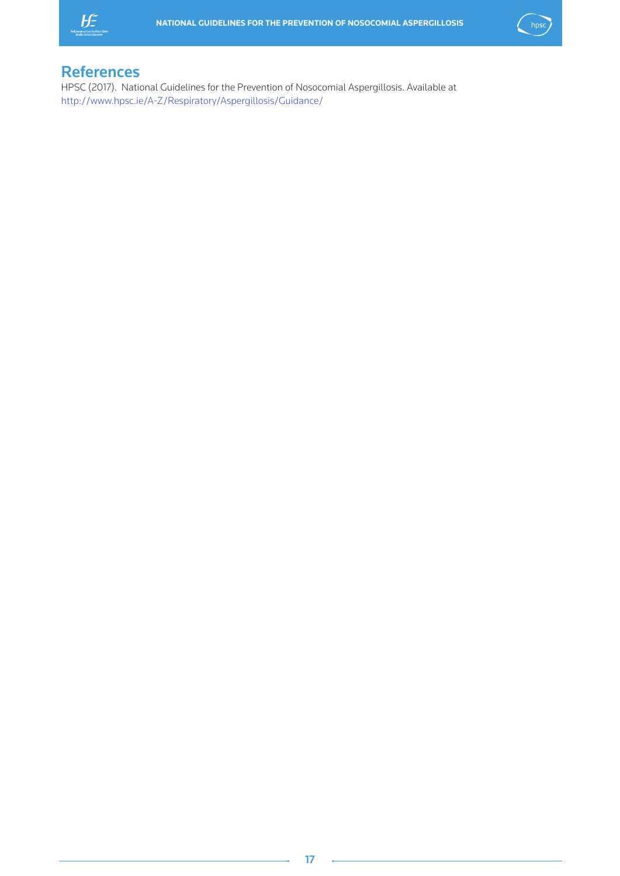



# **References**

HPSC (2017). National Guidelines for the Prevention of Nosocomial Aspergillosis. Available at http://www.hpsc.ie/A-Z/Respiratory/Aspergillosis/Guidance/